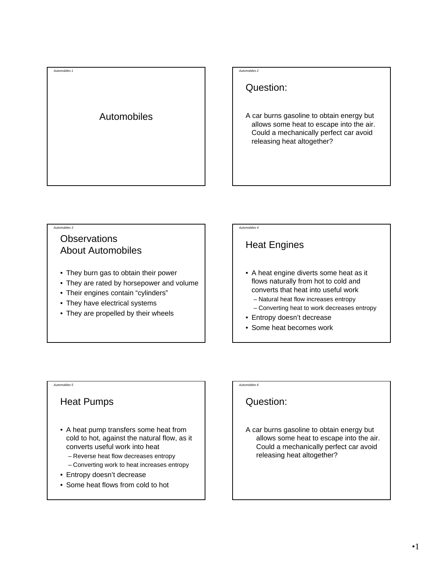#### *Automobiles 2*

Question:

A car burns gasoline to obtain energy but allows some heat to escape into the air. Could a mechanically perfect car avoid releasing heat altogether?

#### *Automobiles 3*

*Automobiles 1*

### **Observations** About Automobiles

- They burn gas to obtain their power
- They are rated by horsepower and volume
- Their engines contain "cylinders"
- They have electrical systems
- They are propelled by their wheels

## Heat Engines

*Automobiles 4*

- A heat engine diverts some heat as it flows naturally from hot to cold and converts that heat into useful work
	- Natural heat flow increases entropy
	- Converting heat to work decreases entropy
- Entropy doesn't decrease
- Some heat becomes work

#### *Automobiles 5*

### Heat Pumps

- A heat pump transfers some heat from cold to hot, against the natural flow, as it converts useful work into heat
	- Reverse heat flow decreases entropy
	- Converting work to heat increases entropy
- Entropy doesn't decrease
- Some heat flows from cold to hot

*Automobiles 6*

### Question:

A car burns gasoline to obtain energy but allows some heat to escape into the air. Could a mechanically perfect car avoid releasing heat altogether?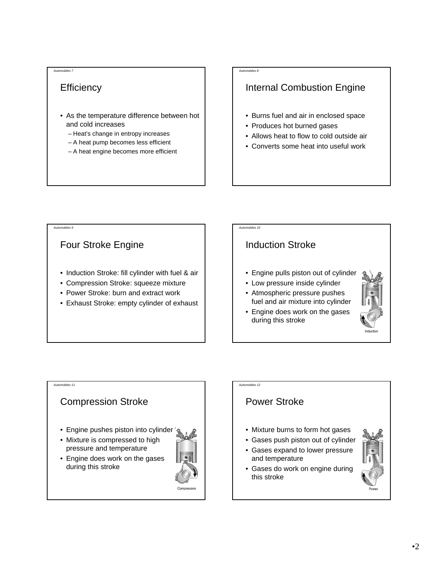### **Efficiency**

- As the temperature difference between hot and cold increases
	- Heat's change in entropy increases
	- A heat pump becomes less efficient
	- A heat engine becomes more efficient

#### *Automobiles 8*

### Internal Combustion Engine

- Burns fuel and air in enclosed space
- Produces hot burned gases
- Allows heat to flow to cold outside air
- Converts some heat into useful work

*Automobiles 9*

### Four Stroke Engine

- Induction Stroke: fill cylinder with fuel & air
- Compression Stroke: squeeze mixture
- Power Stroke: burn and extract work
- Exhaust Stroke: empty cylinder of exhaust

### *Automobiles 10*

### Induction Stroke

- Engine pulls piston out of cylinder
- Low pressure inside cylinder
- Atmospheric pressure pushes fuel and air mixture into cylinder
- Engine does work on the gases during this stroke



#### *Automobiles 11*

### Compression Stroke

- Engine pushes piston into cylinder
- Mixture is compressed to high pressure and temperature

• Engine does work on the gases

during this stroke



#### *Automobiles 12*

### Power Stroke

- Mixture burns to form hot gases
- Gases push piston out of cylinder
- Gases expand to lower pressure and temperature
- Gases do work on engine during this stroke

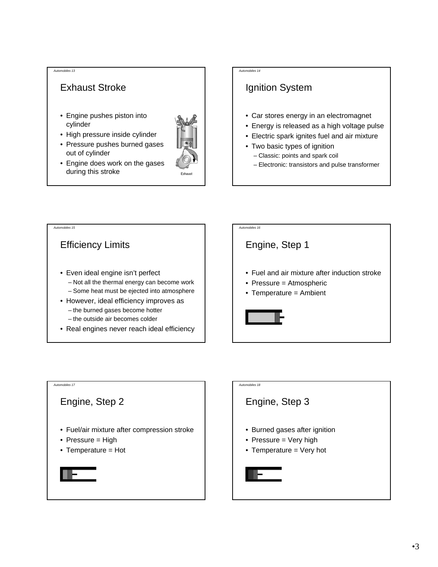### Exhaust Stroke

- Engine pushes piston into cylinder
- High pressure inside cylinder
- Pressure pushes burned gases out of cylinder



• Engine does work on the gases during this stroke

#### *Automobiles 14*

### Ignition System

- Car stores energy in an electromagnet
- Energy is released as a high voltage pulse
- Electric spark ignites fuel and air mixture
- Two basic types of ignition
	- Classic: points and spark coil
	- Electronic: transistors and pulse transformer





## *Automobiles 18* Engine, Step 3 • Burned gases after ignition • Pressure = Very high • Temperature = Very hot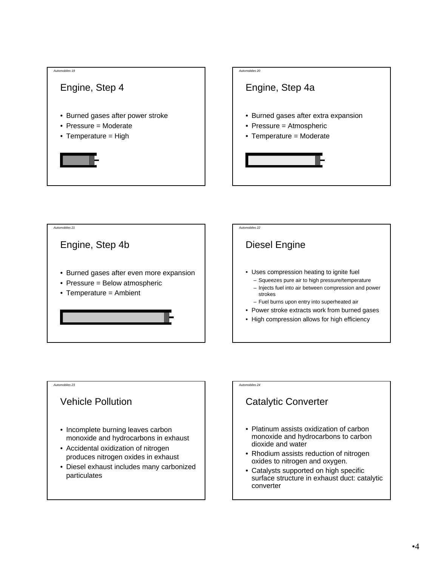





### Vehicle Pollution

- Incomplete burning leaves carbon monoxide and hydrocarbons in exhaust
- Accidental oxidization of nitrogen produces nitrogen oxides in exhaust
- Diesel exhaust includes many carbonized particulates

#### *Automobiles 24*

### Catalytic Converter

- Platinum assists oxidization of carbon monoxide and hydrocarbons to carbon dioxide and water
- Rhodium assists reduction of nitrogen oxides to nitrogen and oxygen.
- Catalysts supported on high specific surface structure in exhaust duct: catalytic converter